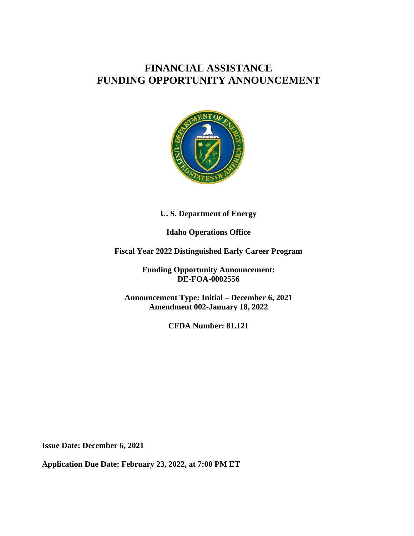# **FINANCIAL ASSISTANCE FUNDING OPPORTUNITY ANNOUNCEMENT**



#### **U. S. Department of Energy**

## **Idaho Operations Office**

**Fiscal Year 2022 Distinguished Early Career Program**

**Funding Opportunity Announcement: DE-FOA-0002556**

**Announcement Type: Initial – December 6, 2021 Amendment 002-January 18, 2022**

**CFDA Number: 81.121**

**Issue Date: December 6, 2021**

**Application Due Date: February 23, 2022, at 7:00 PM ET**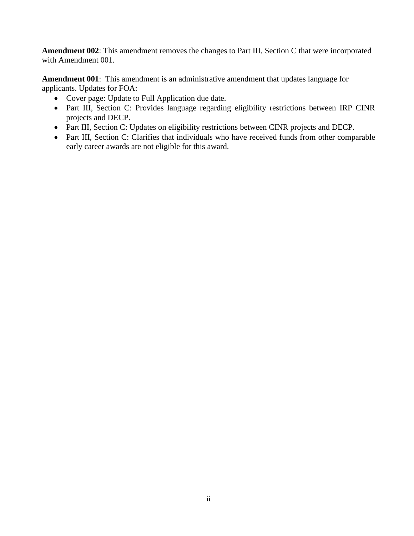**Amendment 002**: This amendment removes the changes to Part III, Section C that were incorporated with Amendment 001.

**Amendment 001**: This amendment is an administrative amendment that updates language for applicants. Updates for FOA:

- Cover page: Update to Full Application due date.
- Part III, Section C: Provides language regarding eligibility restrictions between IRP CINR projects and DECP.
- Part III, Section C: Updates on eligibility restrictions between CINR projects and DECP.
- Part III, Section C: Clarifies that individuals who have received funds from other comparable early career awards are not eligible for this award.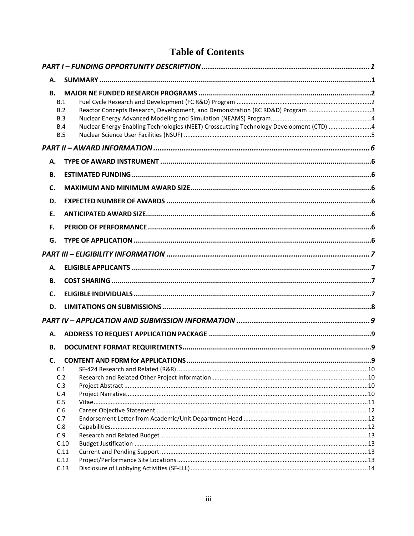# **Table of Contents**

| А.        |                                                                                                              |  |
|-----------|--------------------------------------------------------------------------------------------------------------|--|
| <b>B.</b> | B.1<br>Reactor Concepts Research, Development, and Demonstration (RC RD&D) Program 3<br>B.2<br>B.3           |  |
|           | Nuclear Energy Enabling Technologies (NEET) Crosscutting Technology Development (CTD) 4<br>B.4<br><b>B.5</b> |  |
|           |                                                                                                              |  |
| А.        |                                                                                                              |  |
| <b>B.</b> |                                                                                                              |  |
| C.        |                                                                                                              |  |
| D.        |                                                                                                              |  |
| E.        |                                                                                                              |  |
| F.        |                                                                                                              |  |
| G.        |                                                                                                              |  |
|           |                                                                                                              |  |
| Α.        |                                                                                                              |  |
|           |                                                                                                              |  |
| <b>B.</b> |                                                                                                              |  |
| C.        |                                                                                                              |  |
| D.        |                                                                                                              |  |
|           |                                                                                                              |  |
| А.        |                                                                                                              |  |
| <b>B.</b> |                                                                                                              |  |
| C.        |                                                                                                              |  |
|           | C.1                                                                                                          |  |
|           | C.2                                                                                                          |  |
|           | C.3                                                                                                          |  |
|           | C.4                                                                                                          |  |
|           | C.5                                                                                                          |  |
|           | C.6<br>C.7                                                                                                   |  |
|           | C.8                                                                                                          |  |
|           | C.9                                                                                                          |  |
|           | C.10                                                                                                         |  |
|           | C.11                                                                                                         |  |
|           | C.12                                                                                                         |  |
|           | C.13                                                                                                         |  |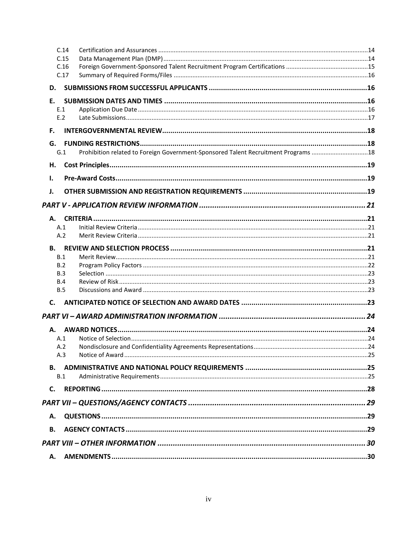| C.14<br>C.15<br>C.16     |                                                                                    |  |
|--------------------------|------------------------------------------------------------------------------------|--|
| C.17                     |                                                                                    |  |
| D.                       |                                                                                    |  |
| E.                       |                                                                                    |  |
| E.1                      |                                                                                    |  |
| E.2                      |                                                                                    |  |
| F.                       |                                                                                    |  |
| G.                       |                                                                                    |  |
| G.1                      | Prohibition related to Foreign Government-Sponsored Talent Recruitment Programs 18 |  |
| Η.                       |                                                                                    |  |
| Ι.                       |                                                                                    |  |
| J.                       |                                                                                    |  |
|                          |                                                                                    |  |
|                          |                                                                                    |  |
|                          |                                                                                    |  |
| A.1                      |                                                                                    |  |
| A.2                      |                                                                                    |  |
| <b>B.</b>                |                                                                                    |  |
| B.1                      |                                                                                    |  |
| B.2                      |                                                                                    |  |
| B.3                      |                                                                                    |  |
| <b>B.4</b><br><b>B.5</b> |                                                                                    |  |
|                          |                                                                                    |  |
| $\mathsf{C}$ .           |                                                                                    |  |
|                          |                                                                                    |  |
| А.                       |                                                                                    |  |
| A.1                      |                                                                                    |  |
| A.2                      |                                                                                    |  |
| A.3                      |                                                                                    |  |
| <b>B.</b>                |                                                                                    |  |
| B.1                      |                                                                                    |  |
| C.                       |                                                                                    |  |
|                          |                                                                                    |  |
| Α.                       |                                                                                    |  |
| <b>B.</b>                |                                                                                    |  |
|                          |                                                                                    |  |
|                          |                                                                                    |  |
| А.                       |                                                                                    |  |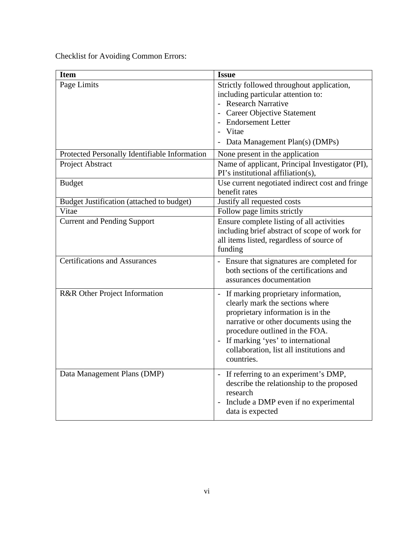Checklist for Avoiding Common Errors:

| <b>Item</b>                                   | <b>Issue</b>                                                                                                                                                                                                                                                                               |
|-----------------------------------------------|--------------------------------------------------------------------------------------------------------------------------------------------------------------------------------------------------------------------------------------------------------------------------------------------|
| Page Limits                                   | Strictly followed throughout application,<br>including particular attention to:<br>- Research Narrative                                                                                                                                                                                    |
|                                               | - Career Objective Statement<br>- Endorsement Letter<br>- Vitae<br>Data Management Plan(s) (DMPs)                                                                                                                                                                                          |
| Protected Personally Identifiable Information | None present in the application                                                                                                                                                                                                                                                            |
| Project Abstract                              | Name of applicant, Principal Investigator (PI),<br>PI's institutional affiliation(s),                                                                                                                                                                                                      |
| <b>Budget</b>                                 | Use current negotiated indirect cost and fringe<br>benefit rates                                                                                                                                                                                                                           |
| Budget Justification (attached to budget)     | Justify all requested costs                                                                                                                                                                                                                                                                |
| Vitae                                         | Follow page limits strictly                                                                                                                                                                                                                                                                |
| <b>Current and Pending Support</b>            | Ensure complete listing of all activities<br>including brief abstract of scope of work for<br>all items listed, regardless of source of<br>funding                                                                                                                                         |
| <b>Certifications and Assurances</b>          | - Ensure that signatures are completed for<br>both sections of the certifications and<br>assurances documentation                                                                                                                                                                          |
| R&R Other Project Information                 | - If marking proprietary information,<br>clearly mark the sections where<br>proprietary information is in the<br>narrative or other documents using the<br>procedure outlined in the FOA.<br>- If marking 'yes' to international<br>collaboration, list all institutions and<br>countries. |
| Data Management Plans (DMP)                   | - If referring to an experiment's DMP,<br>describe the relationship to the proposed<br>research<br>Include a DMP even if no experimental<br>data is expected                                                                                                                               |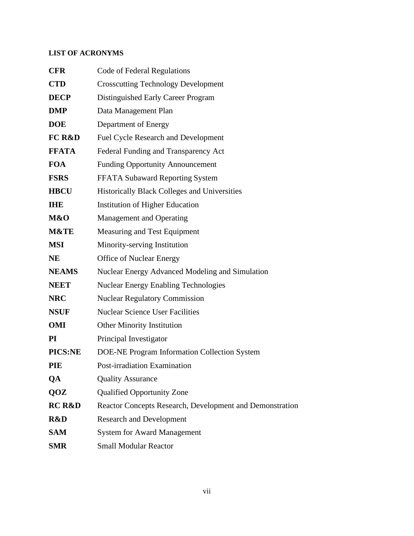### **LIST OF ACRONYMS**

| <b>CFR</b>        | <b>Code of Federal Regulations</b>                       |
|-------------------|----------------------------------------------------------|
| <b>CTD</b>        | <b>Crosscutting Technology Development</b>               |
| <b>DECP</b>       | Distinguished Early Career Program                       |
| <b>DMP</b>        | Data Management Plan                                     |
| <b>DOE</b>        | Department of Energy                                     |
| <b>FC R&amp;D</b> | Fuel Cycle Research and Development                      |
| <b>FFATA</b>      | Federal Funding and Transparency Act                     |
| <b>FOA</b>        | <b>Funding Opportunity Announcement</b>                  |
| <b>FSRS</b>       | <b>FFATA Subaward Reporting System</b>                   |
| <b>HBCU</b>       | <b>Historically Black Colleges and Universities</b>      |
| <b>THE</b>        | <b>Institution of Higher Education</b>                   |
| M&O               | <b>Management and Operating</b>                          |
| <b>M&amp;TE</b>   | Measuring and Test Equipment                             |
| <b>MSI</b>        | Minority-serving Institution                             |
| NE                | <b>Office of Nuclear Energy</b>                          |
| <b>NEAMS</b>      | Nuclear Energy Advanced Modeling and Simulation          |
| <b>NEET</b>       | <b>Nuclear Energy Enabling Technologies</b>              |
| <b>NRC</b>        | <b>Nuclear Regulatory Commission</b>                     |
| <b>NSUF</b>       | <b>Nuclear Science User Facilities</b>                   |
| <b>OMI</b>        | <b>Other Minority Institution</b>                        |
| $\mathbf{PI}$     | Principal Investigator                                   |
| PICS:NE           | DOE-NE Program Information Collection System             |
| PIE               | Post-irradiation Examination                             |
| QA                | <b>Quality Assurance</b>                                 |
| QOZ               | <b>Qualified Opportunity Zone</b>                        |
| <b>RC R&amp;D</b> | Reactor Concepts Research, Development and Demonstration |
| R&D               | <b>Research and Development</b>                          |
| <b>SAM</b>        | <b>System for Award Management</b>                       |
| <b>SMR</b>        | <b>Small Modular Reactor</b>                             |
|                   |                                                          |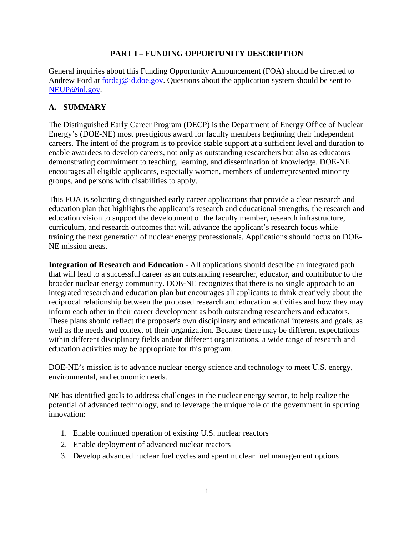#### **PART I – FUNDING OPPORTUNITY DESCRIPTION**

<span id="page-7-0"></span>General inquiries about this Funding Opportunity Announcement (FOA) should be directed to Andrew Ford at [fordaj@id.doe.gov.](http://energy.gov/gc/standard-intellectual-property-ip-provisions-financial-assistance-awards) Questions about the application system should be sent to [NEUP@inl.gov.](mailto:NEUP@inl.gov)

### <span id="page-7-1"></span>**A. SUMMARY**

The Distinguished Early Career Program (DECP) is the Department of Energy Office of Nuclear Energy's (DOE-NE) most prestigious award for faculty members beginning their independent careers. The intent of the program is to provide stable support at a sufficient level and duration to enable awardees to develop careers, not only as outstanding researchers but also as educators demonstrating commitment to teaching, learning, and dissemination of knowledge. DOE-NE encourages all eligible applicants, especially women, members of underrepresented minority groups, and persons with disabilities to apply.

This FOA is soliciting distinguished early career applications that provide a clear research and education plan that highlights the applicant's research and educational strengths, the research and education vision to support the development of the faculty member, research infrastructure, curriculum, and research outcomes that will advance the applicant's research focus while training the next generation of nuclear energy professionals. Applications should focus on DOE-NE mission areas.

**Integration of Research and Education -** All applications should describe an integrated path that will lead to a successful career as an outstanding researcher, educator, and contributor to the broader nuclear energy community. DOE-NE recognizes that there is no single approach to an integrated research and education plan but encourages all applicants to think creatively about the reciprocal relationship between the proposed research and education activities and how they may inform each other in their career development as both outstanding researchers and educators. These plans should reflect the proposer's own disciplinary and educational interests and goals, as well as the needs and context of their organization. Because there may be different expectations within different disciplinary fields and/or different organizations, a wide range of research and education activities may be appropriate for this program.

DOE-NE's mission is to advance nuclear energy science and technology to meet U.S. energy, environmental, and economic needs.

NE has identified goals to address challenges in the nuclear energy sector, to help realize the potential of advanced technology, and to leverage the unique role of the government in spurring innovation:

- 1. Enable continued operation of existing U.S. nuclear reactors
- 2. Enable deployment of advanced nuclear reactors
- 3. Develop advanced nuclear fuel cycles and spent nuclear fuel management options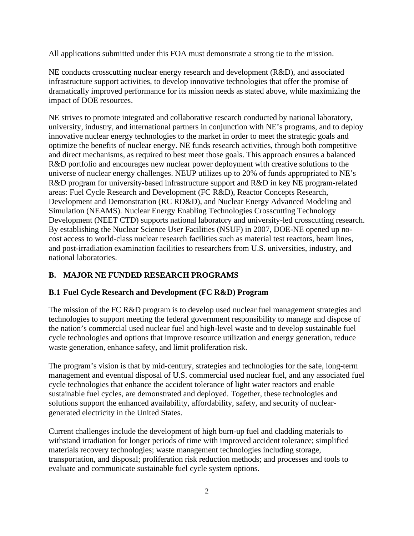All applications submitted under this FOA must demonstrate a strong tie to the mission.

NE conducts crosscutting nuclear energy research and development (R&D), and associated infrastructure support activities, to develop innovative technologies that offer the promise of dramatically improved performance for its mission needs as stated above, while maximizing the impact of DOE resources.

NE strives to promote integrated and collaborative research conducted by national laboratory, university, industry, and international partners in conjunction with NE's programs, and to deploy innovative nuclear energy technologies to the market in order to meet the strategic goals and optimize the benefits of nuclear energy. NE funds research activities, through both competitive and direct mechanisms, as required to best meet those goals. This approach ensures a balanced R&D portfolio and encourages new nuclear power deployment with creative solutions to the universe of nuclear energy challenges. NEUP utilizes up to 20% of funds appropriated to NE's R&D program for university-based infrastructure support and R&D in key NE program-related areas: Fuel Cycle Research and Development (FC R&D), Reactor Concepts Research, Development and Demonstration (RC RD&D), and Nuclear Energy Advanced Modeling and Simulation (NEAMS). Nuclear Energy Enabling Technologies Crosscutting Technology Development (NEET CTD) supports national laboratory and university-led crosscutting research. By establishing the Nuclear Science User Facilities (NSUF) in 2007, DOE-NE opened up nocost access to world-class nuclear research facilities such as material test reactors, beam lines, and post-irradiation examination facilities to researchers from U.S. universities, industry, and national laboratories.

## <span id="page-8-0"></span>**B. MAJOR NE FUNDED RESEARCH PROGRAMS**

### <span id="page-8-1"></span>**B.1 Fuel Cycle Research and Development (FC R&D) Program**

The mission of the FC R&D program is to develop used nuclear fuel management strategies and technologies to support meeting the federal government responsibility to manage and dispose of the nation's commercial used nuclear fuel and high-level waste and to develop sustainable fuel cycle technologies and options that improve resource utilization and energy generation, reduce waste generation, enhance safety, and limit proliferation risk.

The program's vision is that by mid-century, strategies and technologies for the safe, long-term management and eventual disposal of U.S. commercial used nuclear fuel, and any associated fuel cycle technologies that enhance the accident tolerance of light water reactors and enable sustainable fuel cycles, are demonstrated and deployed. Together, these technologies and solutions support the enhanced availability, affordability, safety, and security of nucleargenerated electricity in the United States.

Current challenges include the development of high burn-up fuel and cladding materials to withstand irradiation for longer periods of time with improved accident tolerance; simplified materials recovery technologies; waste management technologies including storage, transportation, and disposal; proliferation risk reduction methods; and processes and tools to evaluate and communicate sustainable fuel cycle system options.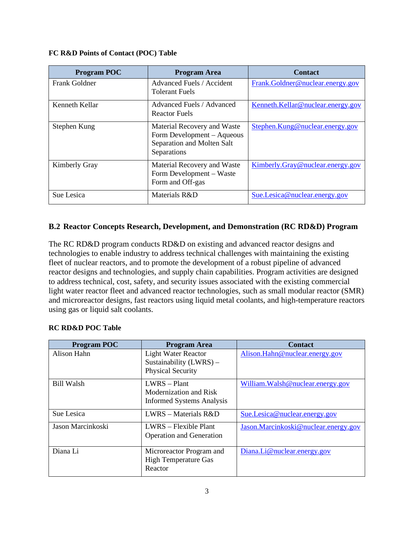| FC R&D Points of Contact (POC) Table |
|--------------------------------------|
|--------------------------------------|

| <b>Program POC</b> | <b>Program Area</b>                                                                                    | <b>Contact</b>                    |
|--------------------|--------------------------------------------------------------------------------------------------------|-----------------------------------|
| Frank Goldner      | Advanced Fuels / Accident<br><b>Tolerant Fuels</b>                                                     | Frank.Goldner@nuclear.energy.gov  |
| Kenneth Kellar     | Advanced Fuels / Advanced<br><b>Reactor Fuels</b>                                                      | Kenneth.Kellar@nuclear.energy.gov |
| Stephen Kung       | Material Recovery and Waste<br>Form Development – Aqueous<br>Separation and Molten Salt<br>Separations | Stephen.Kung@nuclear.energy.gov   |
| Kimberly Gray      | Material Recovery and Waste<br>Form Development – Waste<br>Form and Off-gas                            | Kimberly.Gray@nuclear.energy.gov  |
| Sue Lesica         | Materials R&D                                                                                          | Sue.Lesica@nuclear.energy.gov     |

### <span id="page-9-0"></span>**B.2 Reactor Concepts Research, Development, and Demonstration (RC RD&D) Program**

The RC RD&D program conducts RD&D on existing and advanced reactor designs and technologies to enable industry to address technical challenges with maintaining the existing fleet of nuclear reactors, and to promote the development of a robust pipeline of advanced reactor designs and technologies, and supply chain capabilities. Program activities are designed to address technical, cost, safety, and security issues associated with the existing commercial light water reactor fleet and advanced reactor technologies, such as small modular reactor (SMR) and microreactor designs, fast reactors using liquid metal coolants, and high-temperature reactors using gas or liquid salt coolants.

| <b>RC RD&amp;D POC Table</b> |  |
|------------------------------|--|
|                              |  |

| <b>Program POC</b> | <b>Program Area</b>                                                               | <b>Contact</b>                       |
|--------------------|-----------------------------------------------------------------------------------|--------------------------------------|
| Alison Hahn        | <b>Light Water Reactor</b><br>Sustainability (LWRS) -<br><b>Physical Security</b> | Alison.Hahn@nuclear.energy.gov       |
| <b>Bill Walsh</b>  | $LWRS - Plant$<br>Modernization and Risk<br><b>Informed Systems Analysis</b>      | William. Walsh @ nuclear.energy.gov  |
| Sue Lesica         | $LWRS - Materials R&D$                                                            | Sue.Lesica@nuclear.energy.gov        |
| Jason Marcinkoski  | LWRS – Flexible Plant<br><b>Operation and Generation</b>                          | Jason.Marcinkoski@nuclear.energy.gov |
| Diana Li           | Microreactor Program and<br><b>High Temperature Gas</b><br>Reactor                | $Diana.Li@nuclear-energy.gov$        |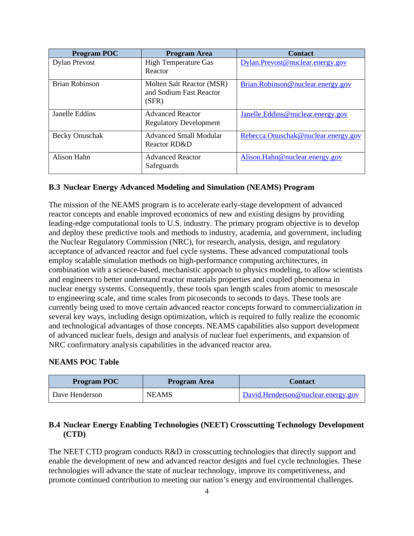| <b>Program POC</b>    | <b>Program Area</b>                                           | <b>Contact</b>                      |
|-----------------------|---------------------------------------------------------------|-------------------------------------|
| <b>Dylan Prevost</b>  | <b>High Temperature Gas</b><br>Reactor                        | Dylan.Prevost@nuclear.energy.gov    |
| <b>Brian Robinson</b> | Molten Salt Reactor (MSR)<br>and Sodium Fast Reactor<br>(SFR) | Brian.Robinson@nuclear.energy.gov   |
| Janelle Eddins        | <b>Advanced Reactor</b><br><b>Regulatory Development</b>      | Janelle.Eddins@nuclear.energy.gov   |
| Becky Onuschak        | <b>Advanced Small Modular</b><br>Reactor RD&D                 | Rebecca.Onuschak@nuclear.energy.gov |
| Alison Hahn           | <b>Advanced Reactor</b><br>Safeguards                         | Alison.Hahn@nuclear.energy.gov      |

#### <span id="page-10-0"></span>**B.3 Nuclear Energy Advanced Modeling and Simulation (NEAMS) Program**

The mission of the NEAMS program is to accelerate early-stage development of advanced reactor concepts and enable improved economics of new and existing designs by providing leading-edge computational tools to U.S. industry. The primary program objective is to develop and deploy these predictive tools and methods to industry, academia, and government, including the Nuclear Regulatory Commission (NRC), for research, analysis, design, and regulatory acceptance of advanced reactor and fuel cycle systems. These advanced computational tools employ scalable simulation methods on high-performance computing architectures, in combination with a science-based, mechanistic approach to physics modeling, to allow scientists and engineers to better understand reactor materials properties and coupled phenomena in nuclear energy systems. Consequently, these tools span length scales from atomic to mesoscale to engineering scale, and time scales from picoseconds to seconds to days. These tools are currently being used to move certain advanced reactor concepts forward to commercialization in several key ways, including design optimization, which is required to fully realize the economic and technological advantages of those concepts. NEAMS capabilities also support development of advanced nuclear fuels, design and analysis of nuclear fuel experiments, and expansion of NRC confirmatory analysis capabilities in the advanced reactor area.

#### **NEAMS POC Table**

| <b>Program POC</b> | <b>Program Area</b> | <b>Contact</b>                     |
|--------------------|---------------------|------------------------------------|
| Dave Henderson     | <b>NEAMS</b>        | David.Henderson@nuclear.energy.gov |

#### <span id="page-10-1"></span>**B.4 Nuclear Energy Enabling Technologies (NEET) Crosscutting Technology Development (CTD)**

The NEET CTD program conducts R&D in crosscutting technologies that directly support and enable the development of new and advanced reactor designs and fuel cycle technologies. These technologies will advance the state of nuclear technology, improve its competitiveness, and promote continued contribution to meeting our nation's energy and environmental challenges.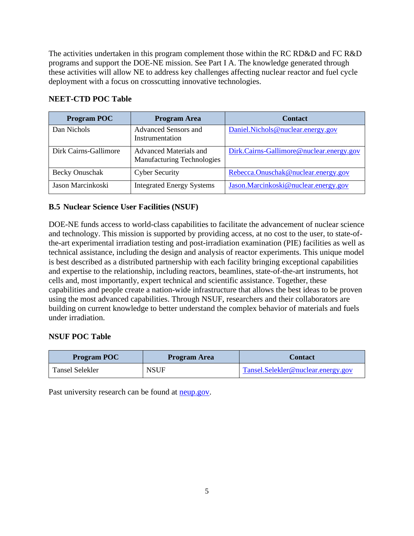The activities undertaken in this program complement those within the RC RD&D and FC R&D programs and support the DOE-NE mission. See Part I A. The knowledge generated through these activities will allow NE to address key challenges affecting nuclear reactor and fuel cycle deployment with a focus on crosscutting innovative technologies.

## **NEET-CTD POC Table**

| <b>Program POC</b>    | <b>Program Area</b>                                         | <b>Contact</b>                           |
|-----------------------|-------------------------------------------------------------|------------------------------------------|
| Dan Nichols           | Advanced Sensors and<br>Instrumentation                     | Daniel.Nichols@nuclear.energy.gov        |
| Dirk Cairns-Gallimore | Advanced Materials and<br><b>Manufacturing Technologies</b> | Dirk.Cairns-Gallimore@nuclear.energy.gov |
| Becky Onuschak        | <b>Cyber Security</b>                                       | Rebecca.Onuschak@nuclear.energy.gov      |
| Jason Marcinkoski     | <b>Integrated Energy Systems</b>                            | Jason.Marcinkoski@nuclear.energy.gov     |

## <span id="page-11-0"></span>**B.5 Nuclear Science User Facilities (NSUF)**

DOE-NE funds access to world-class capabilities to facilitate the advancement of nuclear science and technology. This mission is supported by providing access, at no cost to the user, to state-ofthe-art experimental irradiation testing and post-irradiation examination (PIE) facilities as well as technical assistance, including the design and analysis of reactor experiments. This unique model is best described as a distributed partnership with each facility bringing exceptional capabilities and expertise to the relationship, including reactors, beamlines, state-of-the-art instruments, hot cells and, most importantly, expert technical and scientific assistance. Together, these capabilities and people create a nation-wide infrastructure that allows the best ideas to be proven using the most advanced capabilities. Through NSUF, researchers and their collaborators are building on current knowledge to better understand the complex behavior of materials and fuels under irradiation.

### **NSUF POC Table**

| <b>Program POC</b> | Program Area | Contact                            |
|--------------------|--------------|------------------------------------|
| Tansel Selekler    | <b>NSUF</b>  | Tansel.Selekler@nuclear.energy.gov |

Past university research can be found at **neup**.gov.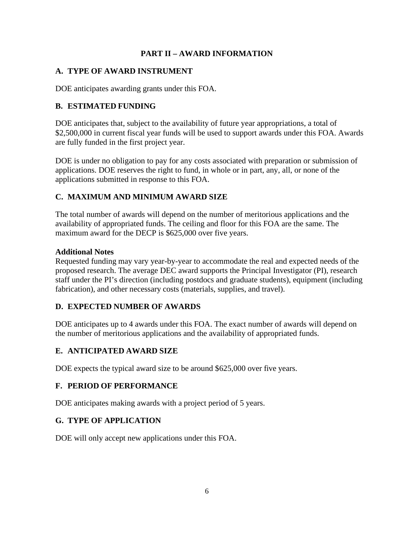#### **PART II – AWARD INFORMATION**

#### <span id="page-12-1"></span><span id="page-12-0"></span>**A. TYPE OF AWARD INSTRUMENT**

<span id="page-12-2"></span>DOE anticipates awarding grants under this FOA.

### **B. ESTIMATED FUNDING**

DOE anticipates that, subject to the availability of future year appropriations, a total of \$2,500,000 in current fiscal year funds will be used to support awards under this FOA. Awards are fully funded in the first project year.

DOE is under no obligation to pay for any costs associated with preparation or submission of applications. DOE reserves the right to fund, in whole or in part, any, all, or none of the applications submitted in response to this FOA.

## <span id="page-12-3"></span>**C. MAXIMUM AND MINIMUM AWARD SIZE**

The total number of awards will depend on the number of meritorious applications and the availability of appropriated funds. The ceiling and floor for this FOA are the same. The maximum award for the DECP is \$625,000 over five years.

#### **Additional Notes**

Requested funding may vary year-by-year to accommodate the real and expected needs of the proposed research. The average DEC award supports the Principal Investigator (PI), research staff under the PI's direction (including postdocs and graduate students), equipment (including fabrication), and other necessary costs (materials, supplies, and travel).

### <span id="page-12-4"></span>**D. EXPECTED NUMBER OF AWARDS**

DOE anticipates up to 4 awards under this FOA. The exact number of awards will depend on the number of meritorious applications and the availability of appropriated funds.

### <span id="page-12-5"></span>**E. ANTICIPATED AWARD SIZE**

DOE expects the typical award size to be around \$625,000 over five years.

### <span id="page-12-6"></span>**F. PERIOD OF PERFORMANCE**

<span id="page-12-7"></span>DOE anticipates making awards with a project period of 5 years.

### **G. TYPE OF APPLICATION**

DOE will only accept new applications under this FOA.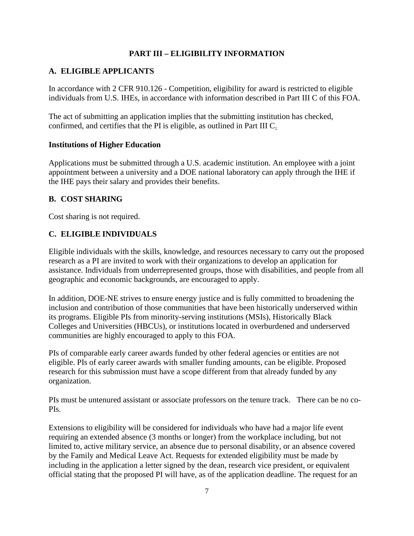### **PART III – ELIGIBILITY INFORMATION**

#### <span id="page-13-1"></span><span id="page-13-0"></span>**A. ELIGIBLE APPLICANTS**

In accordance with 2 CFR 910.126 - Competition, eligibility for award is restricted to eligible individuals from U.S. IHEs, in accordance with information described in Part III C of this FOA.

The act of submitting an application implies that the submitting institution has checked, confirmed, and certifies that the PI is eligible, as outlined in Part III [C.](#page-13-3)

#### **Institutions of Higher Education**

Applications must be submitted through a U.S. academic institution. An employee with a joint appointment between a university and a DOE national laboratory can apply through the IHE if the IHE pays their salary and provides their benefits.

#### <span id="page-13-2"></span>**B. COST SHARING**

<span id="page-13-3"></span>Cost sharing is not required.

#### **C. ELIGIBLE INDIVIDUALS**

Eligible individuals with the skills, knowledge, and resources necessary to carry out the proposed research as a PI are invited to work with their organizations to develop an application for assistance. Individuals from underrepresented groups, those with disabilities, and people from all geographic and economic backgrounds, are encouraged to apply.

In addition, DOE-NE strives to ensure energy justice and is fully committed to broadening the inclusion and contribution of those communities that have been historically underserved within its programs. Eligible PIs from minority-serving institutions (MSIs), Historically Black Colleges and Universities (HBCUs), or institutions located in overburdened and underserved communities are highly encouraged to apply to this FOA.

PIs of comparable early career awards funded by other federal agencies or entities are not eligible. PIs of early career awards with smaller funding amounts, can be eligible. Proposed research for this submission must have a scope different from that already funded by any organization.

PIs must be untenured assistant or associate professors on the tenure track. There can be no co-PIs.

Extensions to eligibility will be considered for individuals who have had a major life event requiring an extended absence (3 months or longer) from the workplace including, but not limited to, active military service, an absence due to personal disability, or an absence covered by the Family and Medical Leave Act. Requests for extended eligibility must be made by including in the application a letter signed by the dean, research vice president, or equivalent official stating that the proposed PI will have, as of the application deadline. The request for an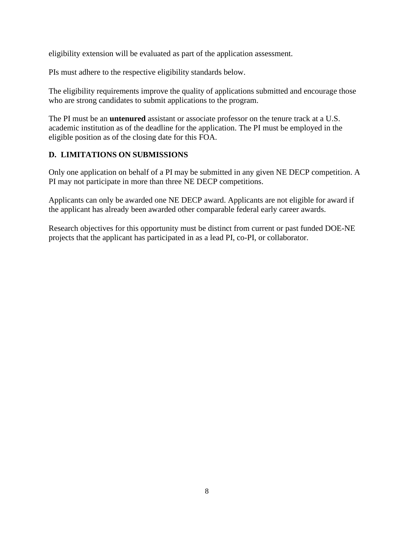eligibility extension will be evaluated as part of the application assessment.

PIs must adhere to the respective eligibility standards below.

The eligibility requirements improve the quality of applications submitted and encourage those who are strong candidates to submit applications to the program.

The PI must be an **untenured** assistant or associate professor on the tenure track at a U.S. academic institution as of the deadline for the application. The PI must be employed in the eligible position as of the closing date for this FOA.

## <span id="page-14-0"></span>**D. LIMITATIONS ON SUBMISSIONS**

Only one application on behalf of a PI may be submitted in any given NE DECP competition. A PI may not participate in more than three NE DECP competitions.

Applicants can only be awarded one NE DECP award. Applicants are not eligible for award if the applicant has already been awarded other comparable federal early career awards.

Research objectives for this opportunity must be distinct from current or past funded DOE-NE projects that the applicant has participated in as a lead PI, co-PI, or collaborator.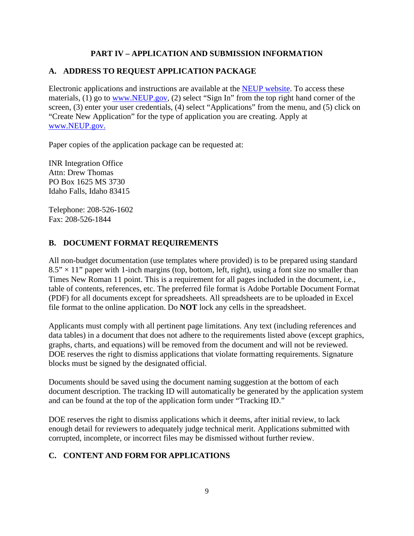### **PART IV – APPLICATION AND SUBMISSION INFORMATION**

## <span id="page-15-1"></span><span id="page-15-0"></span>**A. ADDRESS TO REQUEST APPLICATION PACKAGE**

Electronic applications and instructions are available at the [NEUP website.](https://neup.inl.gov/SitePages/Home.aspx) To access these materials, (1) go to [www.NEUP.gov,](mailto:NEUP@inl.gov) (2) select "Sign In" from the top right hand corner of the screen, (3) enter your user credentials, (4) select "Applications" from the menu, and (5) click on "Create New Application" for the type of application you are creating. Apply at [www.NEUP.gov.](mailto:NEUP@inl.gov)

Paper copies of the application package can be requested at:

INR Integration Office Attn: Drew Thomas PO Box 1625 MS 3730 Idaho Falls, Idaho 83415

Telephone: 208-526-1602 Fax: 208-526-1844

## <span id="page-15-2"></span>**B. DOCUMENT FORMAT REQUIREMENTS**

All non-budget documentation (use templates where provided) is to be prepared using standard  $8.5" \times 11"$  paper with 1-inch margins (top, bottom, left, right), using a font size no smaller than Times New Roman 11 point. This is a requirement for all pages included in the document, i.e., table of contents, references, etc. The preferred file format is Adobe Portable Document Format (PDF) for all documents except for spreadsheets. All spreadsheets are to be uploaded in Excel file format to the online application. Do **NOT** lock any cells in the spreadsheet.

Applicants must comply with all pertinent page limitations. Any text (including references and data tables) in a document that does not adhere to the requirements listed above (except graphics, graphs, charts, and equations) will be removed from the document and will not be reviewed. DOE reserves the right to dismiss applications that violate formatting requirements. Signature blocks must be signed by the designated official.

Documents should be saved using the document naming suggestion at the bottom of each document description. The tracking ID will automatically be generated by the application system and can be found at the top of the application form under "Tracking ID."

DOE reserves the right to dismiss applications which it deems, after initial review, to lack enough detail for reviewers to adequately judge technical merit. Applications submitted with corrupted, incomplete, or incorrect files may be dismissed without further review.

## <span id="page-15-3"></span>**C. CONTENT AND FORM FOR APPLICATIONS**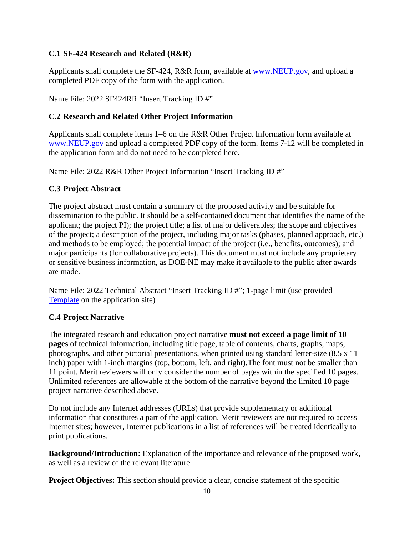#### <span id="page-16-0"></span>**C.1 SF-424 Research and Related (R&R)**

Applicants shall complete the SF-424, R&R form, available at [www.NEUP.gov,](http://www.neup.gov/) and upload a completed PDF copy of the form with the application.

Name File: 2022 SF424RR "Insert Tracking ID #"

#### <span id="page-16-1"></span>**C.2 Research and Related Other Project Information**

Applicants shall complete items 1–6 on the R&R Other Project Information form available at [www.NEUP.gov](http://www.neup.gov/) and upload a completed PDF copy of the form. Items 7-12 will be completed in the application form and do not need to be completed here.

Name File: 2022 R&R Other Project Information "Insert Tracking ID #"

#### <span id="page-16-2"></span>**C.3 Project Abstract**

The project abstract must contain a summary of the proposed activity and be suitable for dissemination to the public. It should be a self-contained document that identifies the name of the applicant; the project PI); the project title; a list of major deliverables; the scope and objectives of the project; a description of the project, including major tasks (phases, planned approach, etc.) and methods to be employed; the potential impact of the project (i.e., benefits, outcomes); and major participants (for collaborative projects). This document must not include any proprietary or sensitive business information, as DOE-NE may make it available to the public after awards are made.

Name File: 2022 Technical Abstract "Insert Tracking ID #"; 1-page limit (use provided [Template](mailto:NEUP@inl.gov) on the application site)

### <span id="page-16-3"></span>**C.4 Project Narrative**

The integrated research and education project narrative **must not exceed a page limit of 10 pages** of technical information, including title page, table of contents, charts, graphs, maps, photographs, and other pictorial presentations, when printed using standard letter-size (8.5 x 11 inch) paper with 1-inch margins (top, bottom, left, and right).The font must not be smaller than 11 point. Merit reviewers will only consider the number of pages within the specified 10 pages. Unlimited references are allowable at the bottom of the narrative beyond the limited 10 page project narrative described above.

Do not include any Internet addresses (URLs) that provide supplementary or additional information that constitutes a part of the application. Merit reviewers are not required to access Internet sites; however, Internet publications in a list of references will be treated identically to print publications.

**Background/Introduction:** Explanation of the importance and relevance of the proposed work , as well as a review of the relevant literature.

**Project Objectives:** This section should provide a clear, concise statement of the specific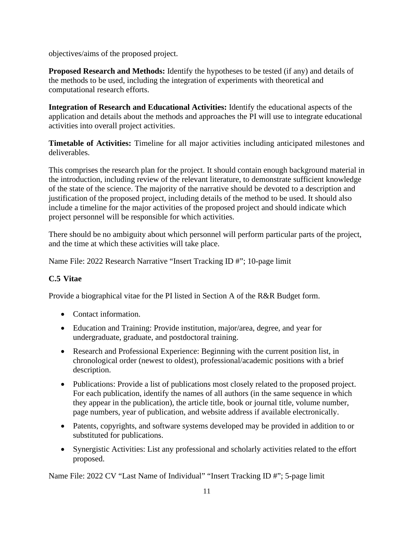objectives/aims of the proposed project.

**Proposed Research and Methods:** Identify the hypotheses to be tested (if any) and details of the methods to be used, including the integration of experiments with theoretical and computational research efforts.

**Integration of Research and Educational Activities:** Identify the educational aspects of the application and details about the methods and approaches the PI will use to integrate educational activities into overall project activities.

**Timetable of Activities:** Timeline for all major activities including anticipated milestones and deliverables.

This comprises the research plan for the project. It should contain enough background material in the introduction, including review of the relevant literature, to demonstrate sufficient knowledge of the state of the science. The majority of the narrative should be devoted to a description and justification of the proposed project, including details of the method to be used. It should also include a timeline for the major activities of the proposed project and should indicate which project personnel will be responsible for which activities.

There should be no ambiguity about which personnel will perform particular parts of the project, and the time at which these activities will take place.

<span id="page-17-0"></span>Name File: 2022 Research Narrative "Insert Tracking ID #"; 10-page limit

### **C.5 Vitae**

Provide a biographical vitae for the PI listed in Section A of the R&R Budget form.

- Contact information.
- Education and Training: Provide institution, major/area, degree, and year for undergraduate, graduate, and postdoctoral training.
- Research and Professional Experience: Beginning with the current position list, in chronological order (newest to oldest), professional/academic positions with a brief description.
- Publications: Provide a list of publications most closely related to the proposed project. For each publication, identify the names of all authors (in the same sequence in which they appear in the publication), the article title, book or journal title, volume number, page numbers, year of publication, and website address if available electronically.
- Patents, copyrights, and software systems developed may be provided in addition to or substituted for publications.
- Synergistic Activities: List any professional and scholarly activities related to the effort proposed.

Name File: 2022 CV "Last Name of Individual" "Insert Tracking ID #"; 5-page limit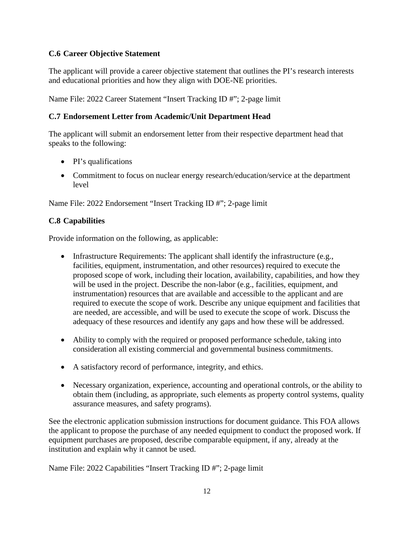### <span id="page-18-0"></span>**C.6 Career Objective Statement**

The applicant will provide a career objective statement that outlines the PI's research interests and educational priorities and how they align with DOE-NE priorities.

Name File: 2022 Career Statement "Insert Tracking ID #"; 2-page limit

## <span id="page-18-1"></span>**C.7 Endorsement Letter from Academic/Unit Department Head**

The applicant will submit an endorsement letter from their respective department head that speaks to the following:

- PI's qualifications
- Commitment to focus on nuclear energy research/education/service at the department level

Name File: 2022 Endorsement "Insert Tracking ID #"; 2-page limit

## <span id="page-18-2"></span>**C.8 Capabilities**

Provide information on the following, as applicable:

- Infrastructure Requirements: The applicant shall identify the infrastructure (e.g., facilities, equipment, instrumentation, and other resources) required to execute the proposed scope of work, including their location, availability, capabilities, and how they will be used in the project. Describe the non-labor (e.g., facilities, equipment, and instrumentation) resources that are available and accessible to the applicant and are required to execute the scope of work. Describe any unique equipment and facilities that are needed, are accessible, and will be used to execute the scope of work. Discuss the adequacy of these resources and identify any gaps and how these will be addressed.
- Ability to comply with the required or proposed performance schedule, taking into consideration all existing commercial and governmental business commitments.
- A satisfactory record of performance, integrity, and ethics.
- Necessary organization, experience, accounting and operational controls, or the ability to obtain them (including, as appropriate, such elements as property control systems, quality assurance measures, and safety programs).

See the electronic application submission instructions for document guidance. This FOA allows the applicant to propose the purchase of any needed equipment to conduct the proposed work. If equipment purchases are proposed, describe comparable equipment, if any, already at the institution and explain why it cannot be used.

Name File: 2022 Capabilities "Insert Tracking ID #"; 2-page limit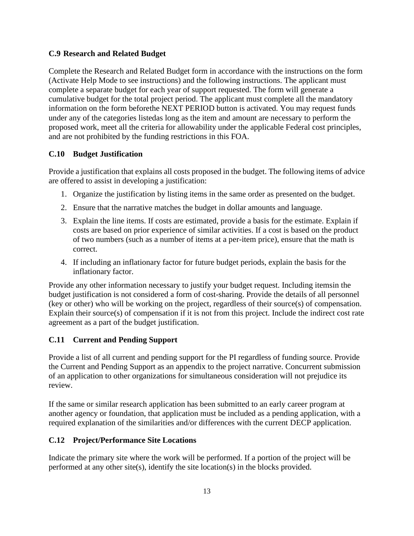#### <span id="page-19-0"></span>**C.9 Research and Related Budget**

Complete the Research and Related Budget form in accordance with the instructions on the form (Activate Help Mode to see instructions) and the following instructions. The applicant must complete a separate budget for each year of support requested. The form will generate a cumulative budget for the total project period. The applicant must complete all the mandatory information on the form beforethe NEXT PERIOD button is activated. You may request funds under any of the categories listedas long as the item and amount are necessary to perform the proposed work, meet all the criteria for allowability under the applicable Federal cost principles, and are not prohibited by the funding restrictions in this FOA.

#### <span id="page-19-1"></span>**C.10 Budget Justification**

Provide a justification that explains all costs proposed in the budget. The following items of advice are offered to assist in developing a justification:

- 1. Organize the justification by listing items in the same order as presented on the budget.
- 2. Ensure that the narrative matches the budget in dollar amounts and language.
- 3. Explain the line items. If costs are estimated, provide a basis for the estimate. Explain if costs are based on prior experience of similar activities. If a cost is based on the product of two numbers (such as a number of items at a per-item price), ensure that the math is correct.
- 4. If including an inflationary factor for future budget periods, explain the basis for the inflationary factor.

Provide any other information necessary to justify your budget request. Including itemsin the budget justification is not considered a form of cost-sharing. Provide the details of all personnel (key or other) who will be working on the project, regardless of their source(s) of compensation. Explain their source(s) of compensation if it is not from this project. Include the indirect cost rate agreement as a part of the budget justification.

### <span id="page-19-2"></span>**C.11 Current and Pending Support**

Provide a list of all current and pending support for the PI regardless of funding source. Provide the Current and Pending Support as an appendix to the project narrative. Concurrent submission of an application to other organizations for simultaneous consideration will not prejudice its review.

If the same or similar research application has been submitted to an early career program at another agency or foundation, that application must be included as a pending application, with a required explanation of the similarities and/or differences with the current DECP application.

### <span id="page-19-3"></span>**C.12 Project/Performance Site Locations**

Indicate the primary site where the work will be performed. If a portion of the project will be performed at any other site(s), identify the site location(s) in the blocks provided.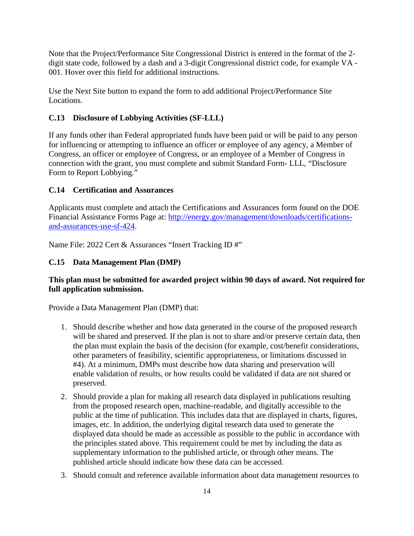Note that the Project/Performance Site Congressional District is entered in the format of the 2 digit state code, followed by a dash and a 3-digit Congressional district code, for example VA - 001. Hover over this field for additional instructions.

Use the Next Site button to expand the form to add additional Project/Performance Site Locations.

### <span id="page-20-0"></span>**C.13 Disclosure of Lobbying Activities (SF-LLL)**

If any funds other than Federal appropriated funds have been paid or will be paid to any person for influencing or attempting to influence an officer or employee of any agency, a Member of Congress, an officer or employee of Congress, or an employee of a Member of Congress in connection with the grant, you must complete and submit Standard Form- LLL, "Disclosure Form to Report Lobbying."

### <span id="page-20-1"></span>**C.14 Certification and Assurances**

Applicants must complete and attach the Certifications and Assurances form found on the DOE Financial Assistance Forms Page at: [http://energy.gov/management/downloads/certifications](http://energy.gov/management/downloads/certifications-and-assurances-use-sf-424)[and-assurances-use-sf-424.](http://energy.gov/management/downloads/certifications-and-assurances-use-sf-424)

<span id="page-20-2"></span>Name File: 2022 Cert & Assurances "Insert Tracking ID #"

### **C.15 Data Management Plan (DMP)**

### **This plan must be submitted for awarded project within 90 days of award. Not required for full application submission.**

Provide a Data Management Plan (DMP) that:

- 1. Should describe whether and how data generated in the course of the proposed research will be shared and preserved. If the plan is not to share and/or preserve certain data, then the plan must explain the basis of the decision (for example, cost/benefit considerations, other parameters of feasibility, scientific appropriateness, or limitations discussed in #4). At a minimum, DMPs must describe how data sharing and preservation will enable validation of results, or how results could be validated if data are not shared or preserved.
- 2. Should provide a plan for making all research data displayed in publications resulting from the proposed research open, machine-readable, and digitally accessible to the public at the time of publication. This includes data that are displayed in charts, figures, images, etc. In addition, the underlying digital research data used to generate the displayed data should be made as accessible as possible to the public in accordance with the principles stated above. This requirement could be met by including the data as supplementary information to the published article, or through other means. The published article should indicate how these data can be accessed.
- 3. Should consult and reference available information about data management resources to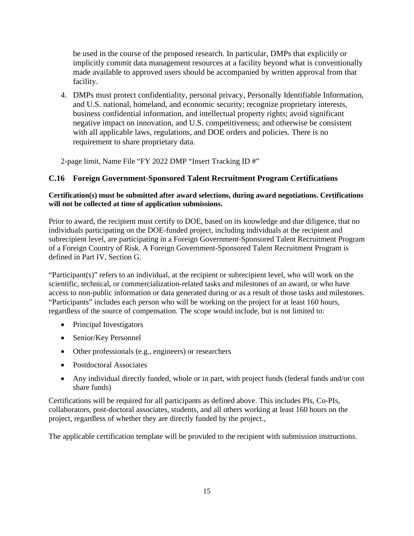be used in the course of the proposed research. In particular, DMPs that explicitly or implicitly commit data management resources at a facility beyond what is conventionally made available to approved users should be accompanied by written approval from that facility.

4. DMPs must protect confidentiality, personal privacy, Personally Identifiable Information, and U.S. national, homeland, and economic security; recognize proprietary interests, business confidential information, and intellectual property rights; avoid significant negative impact on innovation, and U.S. competitiveness; and otherwise be consistent with all applicable laws, regulations, and DOE orders and policies. There is no requirement to share proprietary data.

2-page limit, Name File "FY 2022 DMP "Insert Tracking ID #"

#### <span id="page-21-0"></span>**C.16 Foreign Government-Sponsored Talent Recruitment Program Certifications**

#### **Certification(s) must be submitted after award selections, during award negotiations. Certifications will not be collected at time of application submissions.**

Prior to award, the recipient must certify to DOE, based on its knowledge and due diligence, that no individuals participating on the DOE-funded project, including individuals at the recipient and subrecipient level, are participating in a Foreign Government-Sponsored Talent Recruitment Program of a Foreign Country of Risk. A Foreign Government-Sponsored Talent Recruitment Program is defined in Part IV, Section G.

"Participant(s)" refers to an individual, at the recipient or subrecipient level, who will work on the scientific, technical, or commercialization-related tasks and milestones of an award, or who have access to non-public information or data generated during or as a result of those tasks and milestones. "Participants" includes each person who will be working on the project for at least 160 hours, regardless of the source of compensation. The scope would include, but is not limited to:

- Principal Investigators
- Senior/Key Personnel
- Other professionals (e.g., engineers) or researchers
- Postdoctoral Associates
- Any individual directly funded, whole or in part, with project funds (federal funds and/or cost share funds)

Certifications will be required for all participants as defined above. This includes PIs, Co-PIs, collaborators, post-doctoral associates, students, and all others working at least 160 hours on the project, regardless of whether they are directly funded by the project.,

The applicable certification template will be provided to the recipient with submission instructions.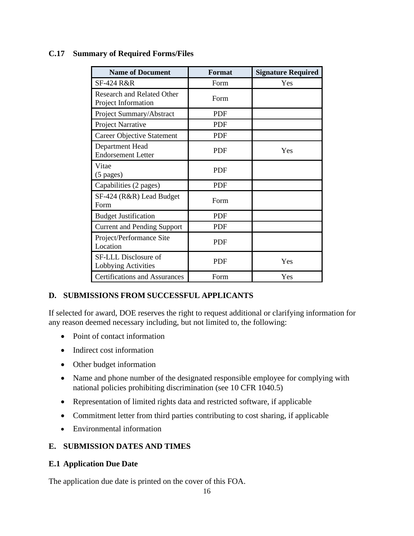#### <span id="page-22-0"></span>**C.17 Summary of Required Forms/Files**

| <b>Name of Document</b>                                  | <b>Format</b> | <b>Signature Required</b> |
|----------------------------------------------------------|---------------|---------------------------|
| SF-424 R&R                                               | Form          | Yes                       |
| <b>Research and Related Other</b><br>Project Information | Form          |                           |
| Project Summary/Abstract                                 | <b>PDF</b>    |                           |
| Project Narrative                                        | <b>PDF</b>    |                           |
| <b>Career Objective Statement</b>                        | <b>PDF</b>    |                           |
| Department Head<br><b>Endorsement Letter</b>             | <b>PDF</b>    | Yes                       |
| Vitae<br>$(5 \text{ pages})$                             | <b>PDF</b>    |                           |
| Capabilities (2 pages)                                   | <b>PDF</b>    |                           |
| SF-424 (R&R) Lead Budget<br>Form                         | Form          |                           |
| <b>Budget Justification</b>                              | <b>PDF</b>    |                           |
| <b>Current and Pending Support</b>                       | <b>PDF</b>    |                           |
| Project/Performance Site<br>Location                     | <b>PDF</b>    |                           |
| SF-LLL Disclosure of<br>Lobbying Activities              | <b>PDF</b>    | Yes                       |
| <b>Certifications and Assurances</b>                     | Form          | Yes                       |

### <span id="page-22-1"></span>**D. SUBMISSIONS FROM SUCCESSFUL APPLICANTS**

If selected for award, DOE reserves the right to request additional or clarifying information for any reason deemed necessary including, but not limited to, the following:

- Point of contact information
- Indirect cost information
- Other budget information
- Name and phone number of the designated responsible employee for complying with national policies prohibiting discrimination (see 10 CFR 1040.5)
- Representation of limited rights data and restricted software, if applicable
- Commitment letter from third parties contributing to cost sharing, if applicable
- Environmental information

### <span id="page-22-2"></span>**E. SUBMISSION DATES AND TIMES**

#### <span id="page-22-3"></span>**E.1 Application Due Date**

The application due date is printed on the cover of this FOA.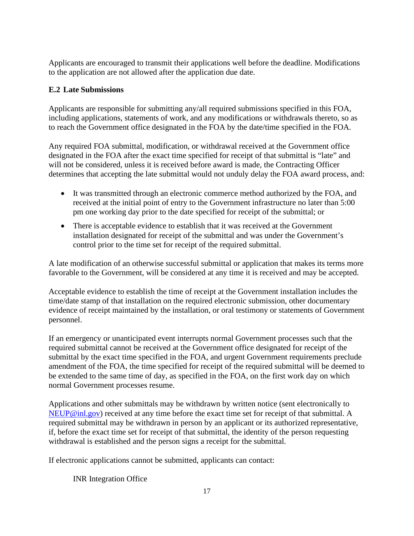Applicants are encouraged to transmit their applications well before the deadline. Modifications to the application are not allowed after the application due date.

## <span id="page-23-0"></span>**E.2 Late Submissions**

Applicants are responsible for submitting any/all required submissions specified in this FOA, including applications, statements of work, and any modifications or withdrawals thereto, so as to reach the Government office designated in the FOA by the date/time specified in the FOA.

Any required FOA submittal, modification, or withdrawal received at the Government office designated in the FOA after the exact time specified for receipt of that submittal is "late" and will not be considered, unless it is received before award is made, the Contracting Officer determines that accepting the late submittal would not unduly delay the FOA award process, and:

- It was transmitted through an electronic commerce method authorized by the FOA, and received at the initial point of entry to the Government infrastructure no later than 5:00 pm one working day prior to the date specified for receipt of the submittal; or
- There is acceptable evidence to establish that it was received at the Government installation designated for receipt of the submittal and was under the Government's control prior to the time set for receipt of the required submittal.

A late modification of an otherwise successful submittal or application that makes its terms more favorable to the Government, will be considered at any time it is received and may be accepted.

Acceptable evidence to establish the time of receipt at the Government installation includes the time/date stamp of that installation on the required electronic submission, other documentary evidence of receipt maintained by the installation, or oral testimony or statements of Government personnel.

If an emergency or unanticipated event interrupts normal Government processes such that the required submittal cannot be received at the Government office designated for receipt of the submittal by the exact time specified in the FOA, and urgent Government requirements preclude amendment of the FOA, the time specified for receipt of the required submittal will be deemed to be extended to the same time of day, as specified in the FOA, on the first work day on which normal Government processes resume.

Applications and other submittals may be withdrawn by written notice (sent electronically to [NEUP@inl.gov\)](http://www.neup.gov/) received at any time before the exact time set for receipt of that submittal. A required submittal may be withdrawn in person by an applicant or its authorized representative, if, before the exact time set for receipt of that submittal, the identity of the person requesting withdrawal is established and the person signs a receipt for the submittal.

If electronic applications cannot be submitted, applicants can contact:

INR Integration Office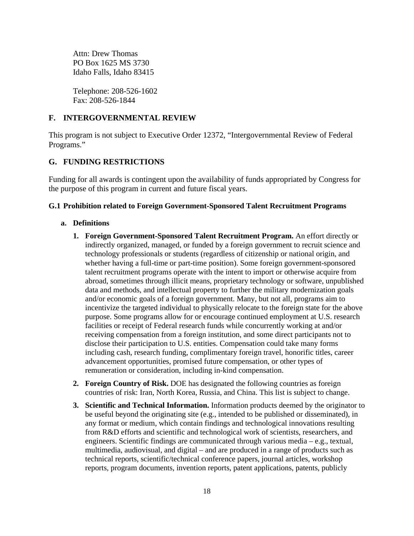Attn: Drew Thomas PO Box 1625 MS 3730 Idaho Falls, Idaho 83415

Telephone: 208-526-1602 Fax: 208-526-1844

#### <span id="page-24-0"></span>**F. INTERGOVERNMENTAL REVIEW**

This program is not subject to Executive Order 12372, "Intergovernmental Review of Federal Programs."

#### <span id="page-24-1"></span>**G. FUNDING RESTRICTIONS**

Funding for all awards is contingent upon the availability of funds appropriated by Congress for the purpose of this program in current and future fiscal years.

#### <span id="page-24-2"></span>**G.1 Prohibition related to Foreign Government-Sponsored Talent Recruitment Programs**

#### **a. Definitions**

- **1. Foreign Government-Sponsored Talent Recruitment Program.** An effort directly or indirectly organized, managed, or funded by a foreign government to recruit science and technology professionals or students (regardless of citizenship or national origin, and whether having a full-time or part-time position). Some foreign government-sponsored talent recruitment programs operate with the intent to import or otherwise acquire from abroad, sometimes through illicit means, proprietary technology or software, unpublished data and methods, and intellectual property to further the military modernization goals and/or economic goals of a foreign government. Many, but not all, programs aim to incentivize the targeted individual to physically relocate to the foreign state for the above purpose. Some programs allow for or encourage continued employment at U.S. research facilities or receipt of Federal research funds while concurrently working at and/or receiving compensation from a foreign institution, and some direct participants not to disclose their participation to U.S. entities. Compensation could take many forms including cash, research funding, complimentary foreign travel, honorific titles, career advancement opportunities, promised future compensation, or other types of remuneration or consideration, including in-kind compensation.
- **2. Foreign Country of Risk.** DOE has designated the following countries as foreign countries of risk: Iran, North Korea, Russia, and China. This list is subject to change.
- **3. Scientific and Technical Information.** Information products deemed by the originator to be useful beyond the originating site (e.g., intended to be published or disseminated), in any format or medium, which contain findings and technological innovations resulting from R&D efforts and scientific and technological work of scientists, researchers, and engineers. Scientific findings are communicated through various media – e.g., textual, multimedia, audiovisual, and digital – and are produced in a range of products such as technical reports, scientific/technical conference papers, journal articles, workshop reports, program documents, invention reports, patent applications, patents, publicly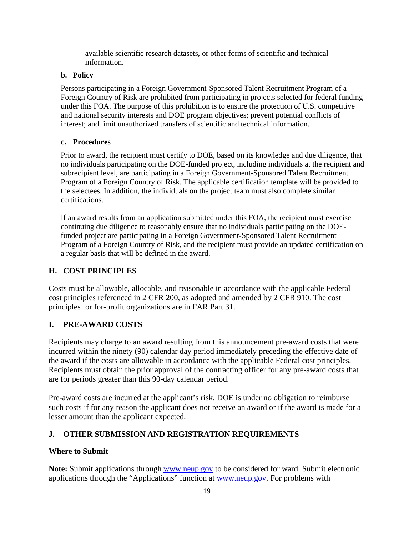available scientific research datasets, or other forms of scientific and technical information.

#### **b. Policy**

Persons participating in a Foreign Government-Sponsored Talent Recruitment Program of a Foreign Country of Risk are prohibited from participating in projects selected for federal funding under this FOA. The purpose of this prohibition is to ensure the protection of U.S. competitive and national security interests and DOE program objectives; prevent potential conflicts of interest; and limit unauthorized transfers of scientific and technical information.

#### **c. Procedures**

Prior to award, the recipient must certify to DOE, based on its knowledge and due diligence, that no individuals participating on the DOE-funded project, including individuals at the recipient and subrecipient level, are participating in a Foreign Government-Sponsored Talent Recruitment Program of a Foreign Country of Risk. The applicable certification template will be provided to the selectees. In addition, the individuals on the project team must also complete similar certifications.

If an award results from an application submitted under this FOA, the recipient must exercise continuing due diligence to reasonably ensure that no individuals participating on the DOEfunded project are participating in a Foreign Government-Sponsored Talent Recruitment Program of a Foreign Country of Risk, and the recipient must provide an updated certification on a regular basis that will be defined in the award.

### <span id="page-25-0"></span>**H. COST PRINCIPLES**

Costs must be allowable, allocable, and reasonable in accordance with the applicable Federal cost principles referenced in 2 CFR 200, as adopted and amended by 2 CFR 910. The cost principles for for-profit organizations are in FAR Part 31.

### <span id="page-25-1"></span>**I. PRE-AWARD COSTS**

Recipients may charge to an award resulting from this announcement pre-award costs that were incurred within the ninety (90) calendar day period immediately preceding the effective date of the award if the costs are allowable in accordance with the applicable Federal cost principles. Recipients must obtain the prior approval of the contracting officer for any pre-award costs that are for periods greater than this 90-day calendar period.

Pre-award costs are incurred at the applicant's risk. DOE is under no obligation to reimburse such costs if for any reason the applicant does not receive an award or if the award is made for a lesser amount than the applicant expected.

## <span id="page-25-2"></span>**J. OTHER SUBMISSION AND REGISTRATION REQUIREMENTS**

### **Where to Submit**

**Note:** Submit applications through [www.neup.gov](http://www.neup.gov/) to be considered for ward. Submit electronic applications through the "Applications" function at [www.neup.gov.](http://www.ecfr.gov/cgi-bin/ECFR) For problems with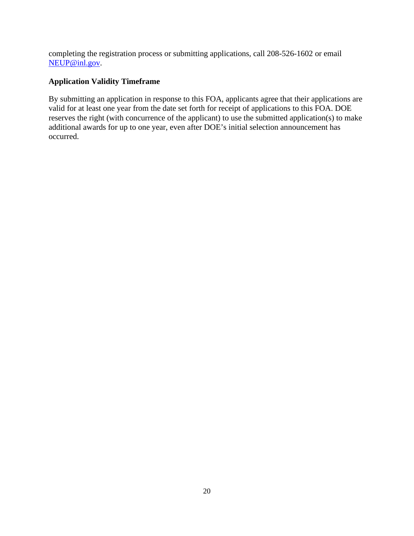completing the registration process or submitting applications, call 208-526-1602 or email [NEUP@inl.gov.](http://www.neup.gov/)

### **Application Validity Timeframe**

By submitting an application in response to this FOA, applicants agree that their applications are valid for at least one year from the date set forth for receipt of applications to this FOA. DOE reserves the right (with concurrence of the applicant) to use the submitted application(s) to make additional awards for up to one year, even after DOE's initial selection announcement has occurred.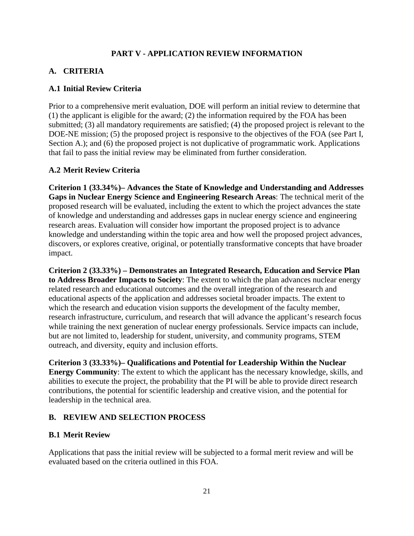#### **PART V - APPLICATION REVIEW INFORMATION**

#### <span id="page-27-1"></span><span id="page-27-0"></span>**A. CRITERIA**

#### <span id="page-27-2"></span>**A.1 Initial Review Criteria**

Prior to a comprehensive merit evaluation, DOE will perform an initial review to determine that (1) the applicant is eligible for the award; (2) the information required by the FOA has been submitted; (3) all mandatory requirements are satisfied; (4) the proposed project is relevant to the DOE-NE mission; (5) the proposed project is responsive to the objectives of the FOA (see Part I, Section A.); and (6) the proposed project is not duplicative of programmatic work. Applications that fail to pass the initial review may be eliminated from further consideration.

#### <span id="page-27-3"></span>**A.2 Merit Review Criteria**

**Criterion 1 (33.34%)– Advances the State of Knowledge and Understanding and Addresses Gaps in Nuclear Energy Science and Engineering Research Areas**: The technical merit of the proposed research will be evaluated, including the extent to which the project advances the state of knowledge and understanding and addresses gaps in nuclear energy science and engineering research areas. Evaluation will consider how important the proposed project is to advance knowledge and understanding within the topic area and how well the proposed project advances, discovers, or explores creative, original, or potentially transformative concepts that have broader impact.

**Criterion 2 (33.33%) – Demonstrates an Integrated Research, Education and Service Plan to Address Broader Impacts to Society**: The extent to which the plan advances nuclear energy related research and educational outcomes and the overall integration of the research and educational aspects of the application and addresses societal broader impacts. The extent to which the research and education vision supports the development of the faculty member, research infrastructure, curriculum, and research that will advance the applicant's research focus while training the next generation of nuclear energy professionals. Service impacts can include, but are not limited to, leadership for student, university, and community programs, STEM outreach, and diversity, equity and inclusion efforts.

**Criterion 3 (33.33%)– Qualifications and Potential for Leadership Within the Nuclear Energy Community**: The extent to which the applicant has the necessary knowledge, skills, and abilities to execute the project, the probability that the PI will be able to provide direct research contributions, the potential for scientific leadership and creative vision, and the potential for leadership in the technical area.

#### <span id="page-27-4"></span>**B. REVIEW AND SELECTION PROCESS**

#### <span id="page-27-5"></span>**B.1 Merit Review**

Applications that pass the initial review will be subjected to a formal merit review and will be evaluated based on the criteria outlined in this FOA.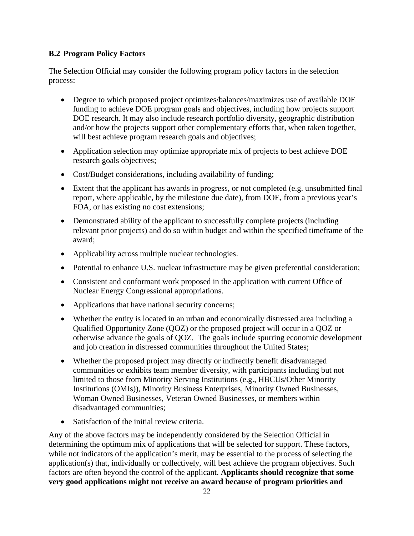### <span id="page-28-0"></span>**B.2 Program Policy Factors**

The Selection Official may consider the following program policy factors in the selection process:

- Degree to which proposed project optimizes/balances/maximizes use of available DOE funding to achieve DOE program goals and objectives, including how projects support DOE research. It may also include research portfolio diversity, geographic distribution and/or how the projects support other complementary efforts that, when taken together, will best achieve program research goals and objectives;
- Application selection may optimize appropriate mix of projects to best achieve DOE research goals objectives;
- Cost/Budget considerations, including availability of funding;
- Extent that the applicant has awards in progress, or not completed (e.g. unsubmitted final report, where applicable, by the milestone due date), from DOE, from a previous year's FOA, or has existing no cost extensions;
- Demonstrated ability of the applicant to successfully complete projects (including relevant prior projects) and do so within budget and within the specified timeframe of the award;
- Applicability across multiple nuclear technologies.
- Potential to enhance U.S. nuclear infrastructure may be given preferential consideration;
- Consistent and conformant work proposed in the application with current Office of Nuclear Energy Congressional appropriations.
- Applications that have national security concerns;
- Whether the entity is located in an urban and economically distressed area including a Qualified Opportunity Zone (QOZ) or the proposed project will occur in a QOZ or otherwise advance the goals of QOZ. The goals include spurring economic development and job creation in distressed communities throughout the United States;
- Whether the proposed project may directly or indirectly benefit disadvantaged communities or exhibits team member diversity, with participants including but not limited to those from Minority Serving Institutions (e.g., HBCUs/Other Minority Institutions (OMIs)), Minority Business Enterprises, Minority Owned Businesses, Woman Owned Businesses, Veteran Owned Businesses, or members within disadvantaged communities;
- Satisfaction of the initial review criteria.

Any of the above factors may be independently considered by the Selection Official in determining the optimum mix of applications that will be selected for support. These factors, while not indicators of the application's merit, may be essential to the process of selecting the application(s) that, individually or collectively, will best achieve the program objectives. Such factors are often beyond the control of the applicant. **Applicants should recognize that some very good applications might not receive an award because of program priorities and**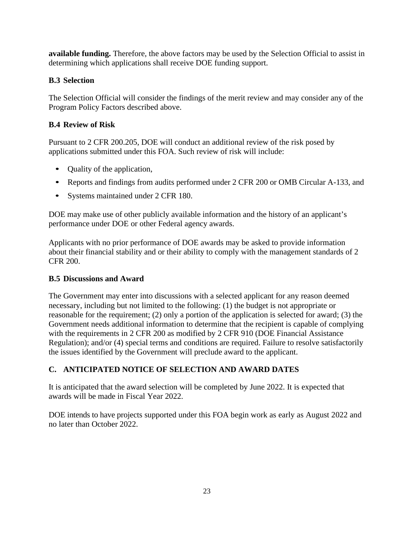**available funding.** Therefore, the above factors may be used by the Selection Official to assist in determining which applications shall receive DOE funding support.

## <span id="page-29-0"></span>**B.3 Selection**

The Selection Official will consider the findings of the merit review and may consider any of the Program Policy Factors described above.

## <span id="page-29-1"></span>**B.4 Review of Risk**

Pursuant to 2 CFR 200.205, DOE will conduct an additional review of the risk posed by applications submitted under this FOA. Such review of risk will include:

- Quality of the application,
- Reports and findings from audits performed under 2 CFR 200 or OMB Circular A-133, and
- Systems maintained under 2 CFR 180.

DOE may make use of other publicly available information and the history of an applicant's performance under DOE or other Federal agency awards.

Applicants with no prior performance of DOE awards may be asked to provide information about their financial stability and or their ability to comply with the management standards of 2 CFR 200.

### <span id="page-29-2"></span>**B.5 Discussions and Award**

The Government may enter into discussions with a selected applicant for any reason deemed necessary, including but not limited to the following: (1) the budget is not appropriate or reasonable for the requirement; (2) only a portion of the application is selected for award; (3) the Government needs additional information to determine that the recipient is capable of complying with the requirements in 2 CFR 200 as modified by 2 CFR 910 (DOE Financial Assistance Regulation); and/or (4) special terms and conditions are required. Failure to resolve satisfactorily the issues identified by the Government will preclude award to the applicant.

## <span id="page-29-3"></span>**C. ANTICIPATED NOTICE OF SELECTION AND AWARD DATES**

It is anticipated that the award selection will be completed by June 2022. It is expected that awards will be made in Fiscal Year 2022.

DOE intends to have projects supported under this FOA begin work as early as August 2022 and no later than October 2022.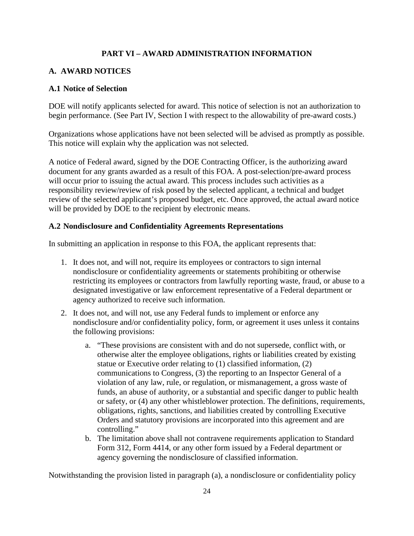### **PART VI – AWARD ADMINISTRATION INFORMATION**

#### <span id="page-30-1"></span><span id="page-30-0"></span>**A. AWARD NOTICES**

#### <span id="page-30-2"></span>**A.1 Notice of Selection**

DOE will notify applicants selected for award. This notice of selection is not an authorization to begin performance. (See Part IV, Section I with respect to the allowability of pre-award costs.)

Organizations whose applications have not been selected will be advised as promptly as possible. This notice will explain why the application was not selected.

A notice of Federal award, signed by the DOE Contracting Officer, is the authorizing award document for any grants awarded as a result of this FOA. A post-selection/pre-award process will occur prior to issuing the actual award. This process includes such activities as a responsibility review/review of risk posed by the selected applicant, a technical and budget review of the selected applicant's proposed budget, etc. Once approved, the actual award notice will be provided by DOE to the recipient by electronic means.

#### <span id="page-30-3"></span>**A.2 Nondisclosure and Confidentiality Agreements Representations**

In submitting an application in response to this FOA, the applicant represents that:

- 1. It does not, and will not, require its employees or contractors to sign internal nondisclosure or confidentiality agreements or statements prohibiting or otherwise restricting its employees or contractors from lawfully reporting waste, fraud, or abuse to a designated investigative or law enforcement representative of a Federal department or agency authorized to receive such information.
- 2. It does not, and will not, use any Federal funds to implement or enforce any nondisclosure and/or confidentiality policy, form, or agreement it uses unless it contains the following provisions:
	- a. "These provisions are consistent with and do not supersede, conflict with, or otherwise alter the employee obligations, rights or liabilities created by existing statue or Executive order relating to (1) classified information, (2) communications to Congress, (3) the reporting to an Inspector General of a violation of any law, rule, or regulation, or mismanagement, a gross waste of funds, an abuse of authority, or a substantial and specific danger to public health or safety, or (4) any other whistleblower protection. The definitions, requirements, obligations, rights, sanctions, and liabilities created by controlling Executive Orders and statutory provisions are incorporated into this agreement and are controlling."
	- b. The limitation above shall not contravene requirements application to Standard Form 312, Form 4414, or any other form issued by a Federal department or agency governing the nondisclosure of classified information.

Notwithstanding the provision listed in paragraph (a), a nondisclosure or confidentiality policy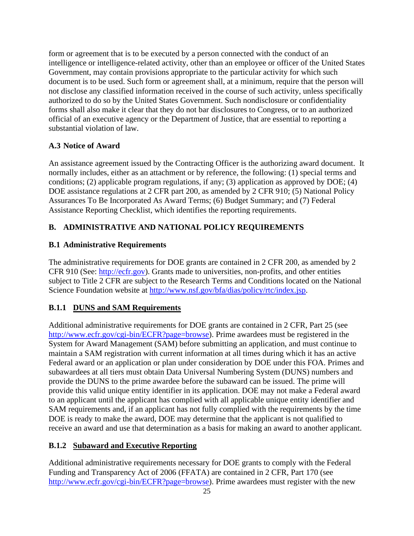form or agreement that is to be executed by a person connected with the conduct of an intelligence or intelligence-related activity, other than an employee or officer of the United States Government, may contain provisions appropriate to the particular activity for which such document is to be used. Such form or agreement shall, at a minimum, require that the person will not disclose any classified information received in the course of such activity, unless specifically authorized to do so by the United States Government. Such nondisclosure or confidentiality forms shall also make it clear that they do not bar disclosures to Congress, or to an authorized official of an executive agency or the Department of Justice, that are essential to reporting a substantial violation of law.

### <span id="page-31-0"></span>**A.3 Notice of Award**

An assistance agreement issued by the Contracting Officer is the authorizing award document. It normally includes, either as an attachment or by reference, the following: (1) special terms and conditions; (2) applicable program regulations, if any; (3) application as approved by DOE; (4) DOE assistance regulations at 2 CFR part 200, as amended by 2 CFR 910; (5) National Policy Assurances To Be Incorporated As Award Terms; (6) Budget Summary; and (7) Federal Assistance Reporting Checklist, which identifies the reporting requirements.

## <span id="page-31-1"></span>**B. ADMINISTRATIVE AND NATIONAL POLICY REQUIREMENTS**

### <span id="page-31-2"></span>**B.1 Administrative Requirements**

The administrative requirements for DOE grants are contained in 2 CFR 200, as amended by 2 CFR 910 (See: [http://ecfr.gov\)](http://www.ecfr.gov/cgi-bin/text-idx?node=pt2.1.910&rgn=div5). Grants made to universities, non-profits, and other entities subject to Title 2 CFR are subject to the Research Terms and Conditions located on the National Science Foundation website at [http://www.nsf.gov/bfa/dias/policy/rtc/index.jsp.](http://www.neup.gov/)

### **B.1.1 DUNS and SAM Requirements**

Additional administrative requirements for DOE grants are contained in 2 CFR, Part 25 (see [http://www.ecfr.gov/cgi-bin/ECFR?page=browse\)](https://neup.inl.gov/SiteAssets/General%20Documents/Full_App_Documents/Section_B_Template.docx?page=browse). Prime awardees must be registered in the System for Award Management (SAM) before submitting an application, and must continue to maintain a SAM registration with current information at all times during which it has an active Federal award or an application or plan under consideration by DOE under this FOA. Primes and subawardees at all tiers must obtain Data Universal Numbering System (DUNS) numbers and provide the DUNS to the prime awardee before the subaward can be issued. The prime will provide this valid unique entity identifier in its application. DOE may not make a Federal award to an applicant until the applicant has complied with all applicable unique entity identifier and SAM requirements and, if an applicant has not fully complied with the requirements by the time DOE is ready to make the award, DOE may determine that the applicant is not qualified to receive an award and use that determination as a basis for making an award to another applicant.

### **B.1.2 Subaward and Executive Reporting**

Additional administrative requirements necessary for DOE grants to comply with the Federal Funding and Transparency Act of 2006 (FFATA) are contained in 2 CFR, Part 170 (see [http://www.ecfr.gov/cgi-bin/ECFR?page=browse\)](http://www.ecfr.gov/cgi-bin/ECFR?page=browse). Prime awardees must register with the new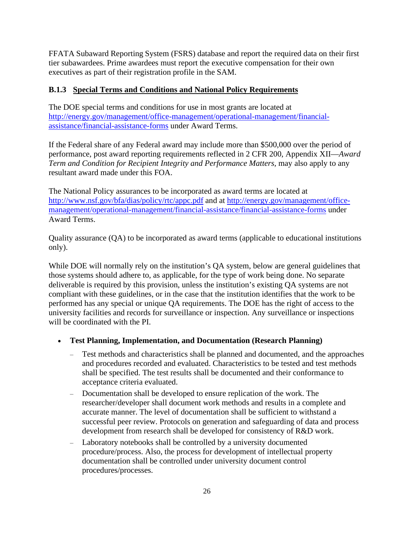FFATA Subaward Reporting System (FSRS) database and report the required data on their first tier subawardees. Prime awardees must report the executive compensation for their own executives as part of their registration profile in the SAM.

#### **B.1.3 Special Terms and Conditions and National Policy Requirements**

The DOE special terms and conditions for use in most grants are located at [http://energy.gov/management/office-management/operational-management/financial](http://www.nsf.gov/bfa/dias/policy/rtc/index.jsp)[assistance/financial-assistance-forms](http://www.nsf.gov/bfa/dias/policy/rtc/index.jsp) under Award Terms.

If the Federal share of any Federal award may include more than \$500,000 over the period of performance, post award reporting requirements reflected in 2 CFR 200, Appendix XII—*Award Term and Condition for Recipient Integrity and Performance Matters, may also apply to any* resultant award made under this FOA.

The National Policy assurances to be incorporated as award terms are located at <http://www.nsf.gov/bfa/dias/policy/rtc/appc.pdf> and at [http://energy.gov/management/office](mailto:fordaj@id.doe.gov)[management/operational-management/financial-assistance/financial-assistance-forms](mailto:fordaj@id.doe.gov) under Award Terms.

Quality assurance (QA) to be incorporated as award terms (applicable to educational institutions only).

While DOE will normally rely on the institution's QA system, below are general guidelines that those systems should adhere to, as applicable, for the type of work being done. No separate deliverable is required by this provision, unless the institution's existing QA systems are not compliant with these guidelines, or in the case that the institution identifies that the work to be performed has any special or unique QA requirements. The DOE has the right of access to the university facilities and records for surveillance or inspection. Any surveillance or inspections will be coordinated with the PI.

#### • **Test Planning, Implementation, and Documentation (Research Planning)**

- ‒ Test methods and characteristics shall be planned and documented, and the approaches and procedures recorded and evaluated. Characteristics to be tested and test methods shall be specified. The test results shall be documented and their conformance to acceptance criteria evaluated.
- ‒ Documentation shall be developed to ensure replication of the work. The researcher/developer shall document work methods and results in a complete and accurate manner. The level of documentation shall be sufficient to withstand a successful peer review. Protocols on generation and safeguarding of data and process development from research shall be developed for consistency of R&D work.
- ‒ Laboratory notebooks shall be controlled by a university documented procedure/process. Also, the process for development of intellectual property documentation shall be controlled under university document control procedures/processes.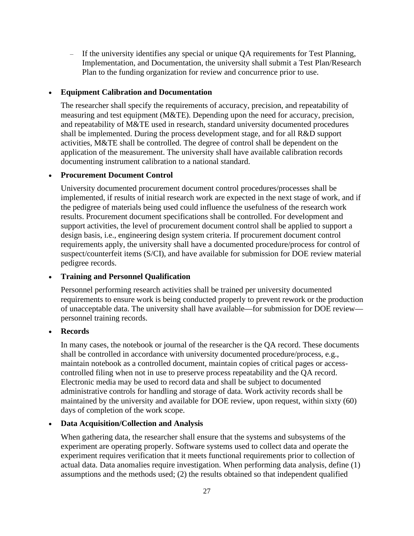‒ If the university identifies any special or unique QA requirements for Test Planning, Implementation, and Documentation, the university shall submit a Test Plan/Research Plan to the funding organization for review and concurrence prior to use.

#### • **Equipment Calibration and Documentation**

The researcher shall specify the requirements of accuracy, precision, and repeatability of measuring and test equipment (M&TE). Depending upon the need for accuracy, precision, and repeatability of M&TE used in research, standard university documented procedures shall be implemented. During the process development stage, and for all R&D support activities, M&TE shall be controlled. The degree of control shall be dependent on the application of the measurement. The university shall have available calibration records documenting instrument calibration to a national standard.

#### • **Procurement Document Control**

University documented procurement document control procedures/processes shall be implemented, if results of initial research work are expected in the next stage of work, and if the pedigree of materials being used could influence the usefulness of the research work results. Procurement document specifications shall be controlled. For development and support activities, the level of procurement document control shall be applied to support a design basis, i.e., engineering design system criteria. If procurement document control requirements apply, the university shall have a documented procedure/process for control of suspect/counterfeit items (S/CI), and have available for submission for DOE review material pedigree records.

#### • **Training and Personnel Qualification**

Personnel performing research activities shall be trained per university documented requirements to ensure work is being conducted properly to prevent rework or the production of unacceptable data. The university shall have available—for submission for DOE review personnel training records.

#### • **Records**

In many cases, the notebook or journal of the researcher is the QA record. These documents shall be controlled in accordance with university documented procedure/process, e.g., maintain notebook as a controlled document, maintain copies of critical pages or accesscontrolled filing when not in use to preserve process repeatability and the QA record. Electronic media may be used to record data and shall be subject to documented administrative controls for handling and storage of data. Work activity records shall be maintained by the university and available for DOE review, upon request, within sixty (60) days of completion of the work scope.

#### • **Data Acquisition/Collection and Analysis**

When gathering data, the researcher shall ensure that the systems and subsystems of the experiment are operating properly. Software systems used to collect data and operate the experiment requires verification that it meets functional requirements prior to collection of actual data. Data anomalies require investigation. When performing data analysis, define (1) assumptions and the methods used; (2) the results obtained so that independent qualified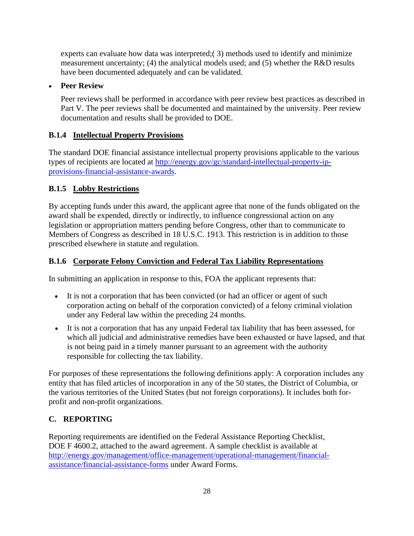experts can evaluate how data was interpreted;( 3) methods used to identify and minimize measurement uncertainty; (4) the analytical models used; and (5) whether the R&D results have been documented adequately and can be validated.

### • **Peer Review**

Peer reviews shall be performed in accordance with peer review best practices as described in Part V. The peer reviews shall be documented and maintained by the university. Peer review documentation and results shall be provided to DOE.

## **B.1.4 Intellectual Property Provisions**

The standard DOE financial assistance intellectual property provisions applicable to the various types of recipients are located at [http://energy.gov/gc/standard-intellectual-property-ip](http://www.fedconnect.net/)[provisions-financial-assistance-awards.](http://www.fedconnect.net/)

## **B.1.5 Lobby Restrictions**

By accepting funds under this award, the applicant agree that none of the funds obligated on the award shall be expended, directly or indirectly, to influence congressional action on any legislation or appropriation matters pending before Congress, other than to communicate to Members of Congress as described in 18 U.S.C. 1913. This restriction is in addition to those prescribed elsewhere in statute and regulation.

## **B.1.6 Corporate Felony Conviction and Federal Tax Liability Representations**

In submitting an application in response to this, FOA the applicant represents that:

- It is not a corporation that has been convicted (or had an officer or agent of such corporation acting on behalf of the corporation convicted) of a felony criminal violation under any Federal law within the preceding 24 months.
- It is not a corporation that has any unpaid Federal tax liability that has been assessed, for which all judicial and administrative remedies have been exhausted or have lapsed, and that is not being paid in a timely manner pursuant to an agreement with the authority responsible for collecting the tax liability.

For purposes of these representations the following definitions apply: A corporation includes any entity that has filed articles of incorporation in any of the 50 states, the District of Columbia, or the various territories of the United States (but not foreign corporations). It includes both forprofit and non-profit organizations.

## <span id="page-34-0"></span>**C. REPORTING**

Reporting requirements are identified on the Federal Assistance Reporting Checklist, DOE F 4600.2, attached to the award agreement. A sample checklist is available at [http://energy.gov/management/office-management/operational-management/financial](http://energy.gov/management/office-management/operational-management/financial-assistance/financial-assistance-forms)[assistance/financial-assistance-forms](http://energy.gov/management/office-management/operational-management/financial-assistance/financial-assistance-forms) under Award Forms.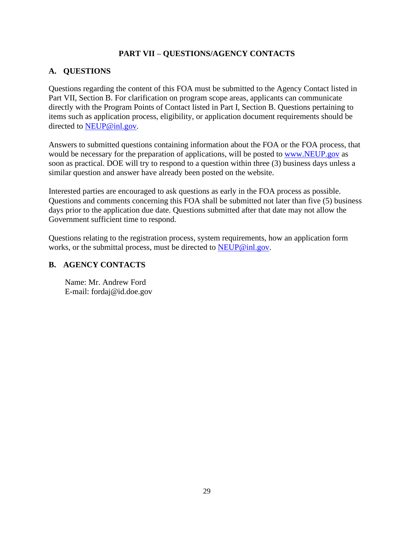### **PART VII** – **QUESTIONS/AGENCY CONTACTS**

#### <span id="page-35-1"></span><span id="page-35-0"></span>**A. QUESTIONS**

Questions regarding the content of this FOA must be submitted to the Agency Contact listed in Part VII, Section B. For clarification on program scope areas, applicants can communicate directly with the Program Points of Contact listed in Part I, Section B. Questions pertaining to items such as application process, eligibility, or application document requirements should be directed to [NEUP@inl.gov.](mailto:NEUP@inl.gov)

Answers to submitted questions containing information about the FOA or the FOA process, that would be necessary for the preparation of applications, will be posted to [www.NEUP.gov](http://www.neup.gov/) as soon as practical. DOE will try to respond to a question within three (3) business days unless a similar question and answer have already been posted on the website.

Interested parties are encouraged to ask questions as early in the FOA process as possible. Questions and comments concerning this FOA shall be submitted not later than five (5) business days prior to the application due date. Questions submitted after that date may not allow the Government sufficient time to respond.

Questions relating to the registration process, system requirements, how an application form works, or the submittal process, must be directed to [NEUP@inl.gov.](mailto:NEUP@inl.gov)

#### <span id="page-35-2"></span>**B. AGENCY CONTACTS**

Name: Mr. Andrew Ford E-mail: fordaj@id.doe.gov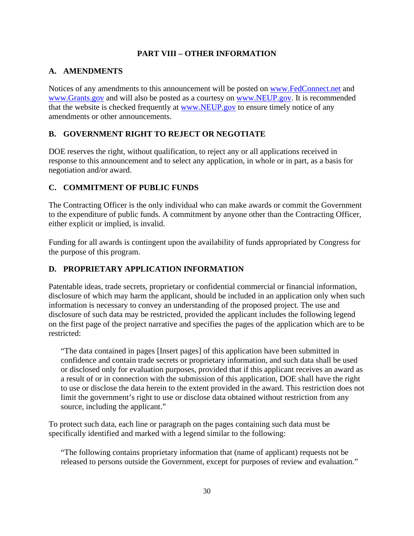#### **PART VIII – OTHER INFORMATION**

#### <span id="page-36-1"></span><span id="page-36-0"></span>**A. AMENDMENTS**

Notices of any amendments to this announcement will be posted on [www.FedConnect.net](http://energy.gov/management/office-management/operational-management/financial-assistance/financial-assistance-forms) and [www.Grants.gov](http://www.grants.gov/) and will also be posted as a courtesy on [www.NEUP.gov.](http://www.neup.gov/) It is recommended that the website is checked frequently at [www.NEUP.gov](mailto:NEUP@inl.gov) to ensure timely notice of any amendments or other announcements.

### <span id="page-36-2"></span>**B. GOVERNMENT RIGHT TO REJECT OR NEGOTIATE**

DOE reserves the right, without qualification, to reject any or all applications received in response to this announcement and to select any application, in whole or in part, as a basis for negotiation and/or award.

### <span id="page-36-3"></span>**C. COMMITMENT OF PUBLIC FUNDS**

The Contracting Officer is the only individual who can make awards or commit the Government to the expenditure of public funds. A commitment by anyone other than the Contracting Officer, either explicit or implied, is invalid.

Funding for all awards is contingent upon the availability of funds appropriated by Congress for the purpose of this program.

## <span id="page-36-4"></span>**D. PROPRIETARY APPLICATION INFORMATION**

Patentable ideas, trade secrets, proprietary or confidential commercial or financial information, disclosure of which may harm the applicant, should be included in an application only when such information is necessary to convey an understanding of the proposed project. The use and disclosure of such data may be restricted, provided the applicant includes the following legend on the first page of the project narrative and specifies the pages of the application which are to be restricted:

"The data contained in pages [Insert pages] of this application have been submitted in confidence and contain trade secrets or proprietary information, and such data shall be used or disclosed only for evaluation purposes, provided that if this applicant receives an award as a result of or in connection with the submission of this application, DOE shall have the right to use or disclose the data herein to the extent provided in the award. This restriction does not limit the government's right to use or disclose data obtained without restriction from any source, including the applicant."

To protect such data, each line or paragraph on the pages containing such data must be specifically identified and marked with a legend similar to the following:

"The following contains proprietary information that (name of applicant) requests not be released to persons outside the Government, except for purposes of review and evaluation."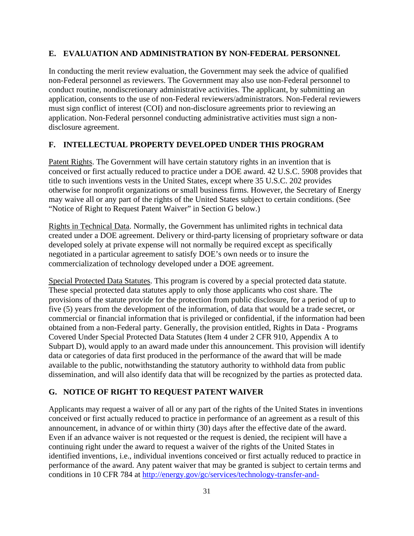#### <span id="page-37-0"></span>**E. EVALUATION AND ADMINISTRATION BY NON-FEDERAL PERSONNEL**

In conducting the merit review evaluation, the Government may seek the advice of qualified non-Federal personnel as reviewers. The Government may also use non-Federal personnel to conduct routine, nondiscretionary administrative activities. The applicant, by submitting an application, consents to the use of non-Federal reviewers/administrators. Non-Federal reviewers must sign conflict of interest (COI) and non-disclosure agreements prior to reviewing an application. Non-Federal personnel conducting administrative activities must sign a nondisclosure agreement.

#### <span id="page-37-1"></span>**F. INTELLECTUAL PROPERTY DEVELOPED UNDER THIS PROGRAM**

Patent Rights. The Government will have certain statutory rights in an invention that is conceived or first actually reduced to practice under a DOE award. 42 U.S.C. 5908 provides that title to such inventions vests in the United States, except where 35 U.S.C. 202 provides otherwise for nonprofit organizations or small business firms. However, the Secretary of Energy may waive all or any part of the rights of the United States subject to certain conditions. (See "Notice of Right to Request Patent Waiver" in Section G below.)

Rights in Technical Data. Normally, the Government has unlimited rights in technical data created under a DOE agreement. Delivery or third-party licensing of proprietary software or data developed solely at private expense will not normally be required except as specifically negotiated in a particular agreement to satisfy DOE's own needs or to insure the commercialization of technology developed under a DOE agreement.

Special Protected Data Statutes. This program is covered by a special protected data statute. These special protected data statutes apply to only those applicants who cost share. The provisions of the statute provide for the protection from public disclosure, for a period of up to five (5) years from the development of the information, of data that would be a trade secret, or commercial or financial information that is privileged or confidential, if the information had been obtained from a non-Federal party. Generally, the provision entitled, Rights in Data - Programs Covered Under Special Protected Data Statutes (Item 4 under 2 CFR 910, Appendix A to Subpart D), would apply to an award made under this announcement. This provision will identify data or categories of data first produced in the performance of the award that will be made available to the public, notwithstanding the statutory authority to withhold data from public dissemination, and will also identify data that will be recognized by the parties as protected data.

### <span id="page-37-2"></span>**G. NOTICE OF RIGHT TO REQUEST PATENT WAIVER**

Applicants may request a waiver of all or any part of the rights of the United States in inventions conceived or first actually reduced to practice in performance of an agreement as a result of this announcement, in advance of or within thirty (30) days after the effective date of the award. Even if an advance waiver is not requested or the request is denied, the recipient will have a continuing right under the award to request a waiver of the rights of the United States in identified inventions, i.e., individual inventions conceived or first actually reduced to practice in performance of the award. Any patent waiver that may be granted is subject to certain terms and conditions in 10 CFR 784 at [http://energy.gov/gc/services/technology-transfer-and-](http://energy.gov/gc/services/technology-transfer-and-procurement/office-assistant-general-counsel-technology-transf-1)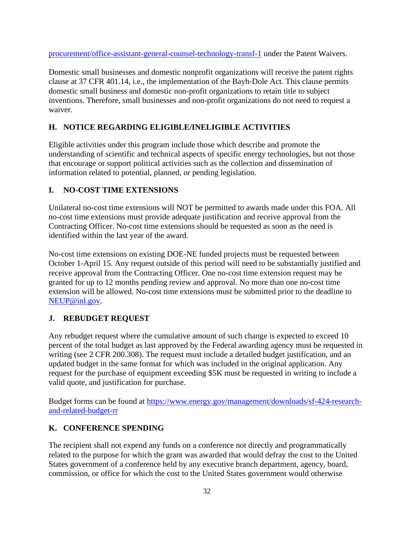[procurement/office-assistant-general-counsel-technology-transf-1](http://energy.gov/gc/services/technology-transfer-and-procurement/office-assistant-general-counsel-technology-transf-1) under the Patent Waivers.

Domestic small businesses and domestic nonprofit organizations will receive the patent rights clause at 37 CFR 401.14, i.e., the implementation of the Bayh-Dole Act. This clause permits domestic small business and domestic non-profit organizations to retain title to subject inventions. Therefore, small businesses and non-profit organizations do not need to request a waiver.

## <span id="page-38-0"></span>**H. NOTICE REGARDING ELIGIBLE/INELIGIBLE ACTIVITIES**

Eligible activities under this program include those which describe and promote the understanding of scientific and technical aspects of specific energy technologies, but not those that encourage or support political activities such as the collection and dissemination of information related to potential, planned, or pending legislation.

## <span id="page-38-1"></span>**I. NO-COST TIME EXTENSIONS**

Unilateral no-cost time extensions will NOT be permitted to awards made under this FOA. All no-cost time extensions must provide adequate justification and receive approval from the Contracting Officer. No-cost time extensions should be requested as soon as the need is identified within the last year of the award.

No-cost time extensions on existing DOE-NE funded projects must be requested between October 1-April 15. Any request outside of this period will need to be substantially justified and receive approval from the Contracting Officer. One no-cost time extension request may be granted for up to 12 months pending review and approval. No more than one no-cost time extension will be allowed. No-cost time extensions must be submitted prior to the deadline to [NEUP@inl.gov.](http://www.neup.gov/)

## <span id="page-38-2"></span>**J. REBUDGET REQUEST**

Any rebudget request where the cumulative amount of such change is expected to exceed 10 percent of the total budget as last approved by the Federal awarding agency must be requested in writing (see 2 CFR 200.308). The request must include a detailed budget justification, and an updated budget in the same format for which was included in the original application. Any request for the purchase of equipment exceeding \$5K must be requested in writing to include a valid quote, and justification for purchase.

Budget forms can be found at [https://www.energy.gov/management/downloads/sf-424-research](https://www.energy.gov/management/downloads/sf-424-research-and-related-budget-rr)[and-related-budget-rr](https://www.energy.gov/management/downloads/sf-424-research-and-related-budget-rr)

### <span id="page-38-3"></span>**K. CONFERENCE SPENDING**

The recipient shall not expend any funds on a conference not directly and programmatically related to the purpose for which the grant was awarded that would defray the cost to the United States government of a conference held by any executive branch department, agency, board, commission, or office for which the cost to the United States government would otherwise